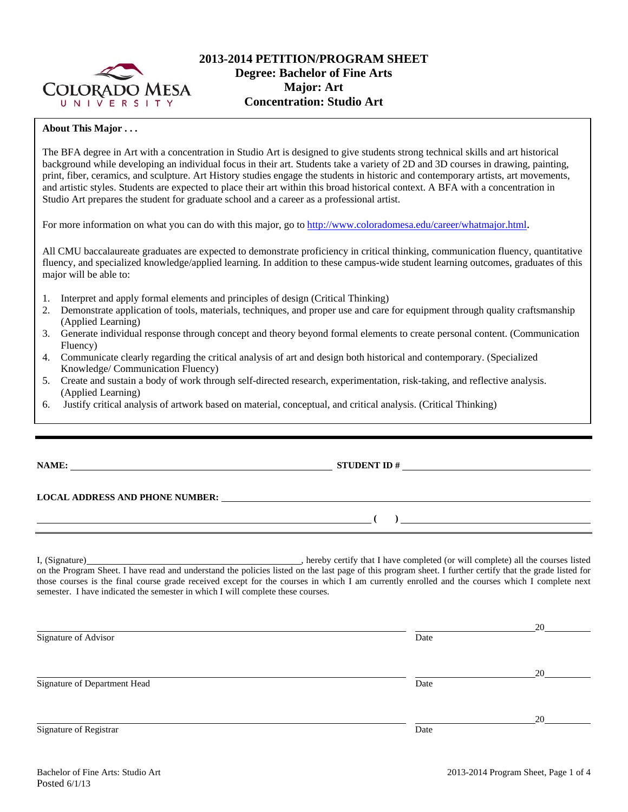

# **2013-2014 PETITION/PROGRAM SHEET Degree: Bachelor of Fine Arts Major: Art Concentration: Studio Art**

### **About This Major . . .**

The BFA degree in Art with a concentration in Studio Art is designed to give students strong technical skills and art historical background while developing an individual focus in their art. Students take a variety of 2D and 3D courses in drawing, painting, print, fiber, ceramics, and sculpture. Art History studies engage the students in historic and contemporary artists, art movements, and artistic styles. Students are expected to place their art within this broad historical context. A BFA with a concentration in Studio Art prepares the student for graduate school and a career as a professional artist.

For more information on what you can do with this major, go to http://www.coloradomesa.edu/career/whatmajor.html.

All CMU baccalaureate graduates are expected to demonstrate proficiency in critical thinking, communication fluency, quantitative fluency, and specialized knowledge/applied learning. In addition to these campus-wide student learning outcomes, graduates of this major will be able to:

- 1. Interpret and apply formal elements and principles of design (Critical Thinking)
- 2. Demonstrate application of tools, materials, techniques, and proper use and care for equipment through quality craftsmanship (Applied Learning)
- 3. Generate individual response through concept and theory beyond formal elements to create personal content. (Communication Fluency)
- 4. Communicate clearly regarding the critical analysis of art and design both historical and contemporary. (Specialized Knowledge/ Communication Fluency)
- 5. Create and sustain a body of work through self-directed research, experimentation, risk-taking, and reflective analysis. (Applied Learning)
- 6. Justify critical analysis of artwork based on material, conceptual, and critical analysis. (Critical Thinking)

**NAME: STUDENT ID #** 

## **LOCAL ADDRESS AND PHONE NUMBER:**

I, (Signature) , hereby certify that I have completed (or will complete) all the courses listed on the Program Sheet. I have read and understand the policies listed on the last page of this program sheet. I further certify that the grade listed for those courses is the final course grade received except for the courses in which I am currently enrolled and the courses which I complete next semester. I have indicated the semester in which I will complete these courses.

|                              |      | 20 |
|------------------------------|------|----|
| Signature of Advisor         | Date |    |
|                              |      | 20 |
| Signature of Department Head | Date |    |
|                              |      | 20 |
| Signature of Registrar       | Date |    |

 **( )**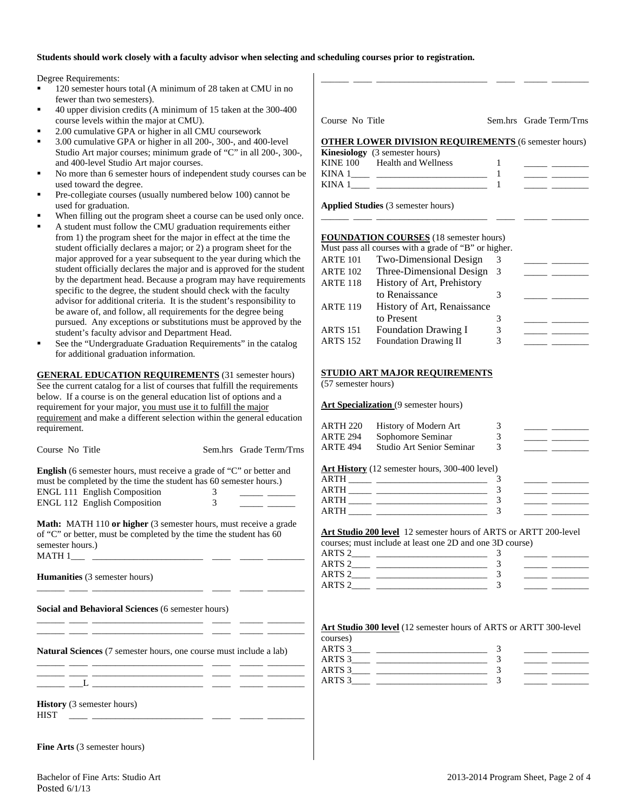### **Students should work closely with a faculty advisor when selecting and scheduling courses prior to registration.**

Degree Requirements:

- 120 semester hours total (A minimum of 28 taken at CMU in no fewer than two semesters).
- 40 upper division credits (A minimum of 15 taken at the 300-400 course levels within the major at CMU).
- 2.00 cumulative GPA or higher in all CMU coursework
- 3.00 cumulative GPA or higher in all 200-, 300-, and 400-level Studio Art major courses; minimum grade of "C" in all 200-, 300-, and 400-level Studio Art major courses.
- No more than 6 semester hours of independent study courses can be used toward the degree.
- Pre-collegiate courses (usually numbered below 100) cannot be used for graduation.
- When filling out the program sheet a course can be used only once.
- A student must follow the CMU graduation requirements either from 1) the program sheet for the major in effect at the time the student officially declares a major; or 2) a program sheet for the major approved for a year subsequent to the year during which the student officially declares the major and is approved for the student by the department head. Because a program may have requirements specific to the degree, the student should check with the faculty advisor for additional criteria. It is the student's responsibility to be aware of, and follow, all requirements for the degree being pursued. Any exceptions or substitutions must be approved by the student's faculty advisor and Department Head.
- See the "Undergraduate Graduation Requirements" in the catalog for additional graduation information.

**GENERAL EDUCATION REQUIREMENTS** (31 semester hours) See the current catalog for a list of courses that fulfill the requirements below. If a course is on the general education list of options and a requirement for your major, you must use it to fulfill the major requirement and make a different selection within the general education

| requirement.                                                                |                                              | <b>ARTH 220</b> | History of Modern Art                                                                                                                                                                                                                                                                                                                                                                                    | 3              | <u> The Common School (1988)</u>                                                                                                                                                                                                     |
|-----------------------------------------------------------------------------|----------------------------------------------|-----------------|----------------------------------------------------------------------------------------------------------------------------------------------------------------------------------------------------------------------------------------------------------------------------------------------------------------------------------------------------------------------------------------------------------|----------------|--------------------------------------------------------------------------------------------------------------------------------------------------------------------------------------------------------------------------------------|
|                                                                             |                                              | <b>ARTE 294</b> | Sophomore Seminar                                                                                                                                                                                                                                                                                                                                                                                        | $\overline{3}$ |                                                                                                                                                                                                                                      |
| Course No Title                                                             | Sem.hrs Grade Term/Trns                      | <b>ARTE 494</b> | Studio Art Senior Seminar                                                                                                                                                                                                                                                                                                                                                                                | $\mathcal{F}$  |                                                                                                                                                                                                                                      |
| <b>English</b> (6 semester hours, must receive a grade of "C" or better and |                                              |                 | Art History (12 semester hours, 300-400 level)                                                                                                                                                                                                                                                                                                                                                           |                |                                                                                                                                                                                                                                      |
| must be completed by the time the student has 60 semester hours.)           |                                              |                 |                                                                                                                                                                                                                                                                                                                                                                                                          |                | <u>and the state of the state of the state</u>                                                                                                                                                                                       |
| ENGL 111 English Composition                                                |                                              |                 |                                                                                                                                                                                                                                                                                                                                                                                                          |                | <u>production and the contract of the contract of the contract of the contract of the contract of the contract of the contract of the contract of the contract of the contract of the contract of the contract of the contract o</u> |
|                                                                             |                                              |                 | $ARTH$ $\frac{1}{\sqrt{3}}$                                                                                                                                                                                                                                                                                                                                                                              |                |                                                                                                                                                                                                                                      |
|                                                                             |                                              |                 |                                                                                                                                                                                                                                                                                                                                                                                                          |                |                                                                                                                                                                                                                                      |
| <b>Math:</b> MATH 110 or higher (3 semester hours, must receive a grade     |                                              |                 |                                                                                                                                                                                                                                                                                                                                                                                                          |                |                                                                                                                                                                                                                                      |
| of "C" or better, must be completed by the time the student has 60          |                                              |                 | Art Studio 200 level 12 semester hours of ARTS or ARTT 200-level                                                                                                                                                                                                                                                                                                                                         |                |                                                                                                                                                                                                                                      |
| semester hours.)                                                            |                                              |                 | courses; must include at least one 2D and one 3D course)                                                                                                                                                                                                                                                                                                                                                 |                |                                                                                                                                                                                                                                      |
|                                                                             |                                              |                 |                                                                                                                                                                                                                                                                                                                                                                                                          |                |                                                                                                                                                                                                                                      |
|                                                                             |                                              |                 | $ARTS 2$ $\overline{\phantom{222511}}$ $\overline{\phantom{223511}}$ $\overline{\phantom{223511}}$ $\overline{\phantom{223511}}$ $\overline{\phantom{223511}}$ $\overline{\phantom{223511}}$ $\overline{\phantom{223511}}$ $\overline{\phantom{223511}}$ $\overline{\phantom{223511}}$ $\overline{\phantom{223511}}$ $\overline{\phantom{223511}}$ $\overline{\phantom{223511}}$ $\overline{\phantom{22$ |                |                                                                                                                                                                                                                                      |
| <b>Humanities</b> (3 semester hours)                                        |                                              |                 |                                                                                                                                                                                                                                                                                                                                                                                                          |                |                                                                                                                                                                                                                                      |
|                                                                             |                                              |                 |                                                                                                                                                                                                                                                                                                                                                                                                          |                |                                                                                                                                                                                                                                      |
| Social and Behavioral Sciences (6 semester hours)                           |                                              |                 |                                                                                                                                                                                                                                                                                                                                                                                                          |                |                                                                                                                                                                                                                                      |
|                                                                             |                                              |                 | <b>Art Studio 300 level</b> (12 semester hours of ARTS or ARTT 300-level                                                                                                                                                                                                                                                                                                                                 |                |                                                                                                                                                                                                                                      |
|                                                                             |                                              | courses)        |                                                                                                                                                                                                                                                                                                                                                                                                          |                |                                                                                                                                                                                                                                      |
| Natural Sciences (7 semester hours, one course must include a lab)          |                                              |                 |                                                                                                                                                                                                                                                                                                                                                                                                          |                | <u> Den Bernard (Bernard Bernard)</u>                                                                                                                                                                                                |
|                                                                             |                                              |                 |                                                                                                                                                                                                                                                                                                                                                                                                          |                | <u> Alexandria (Carlo)</u>                                                                                                                                                                                                           |
|                                                                             |                                              |                 | $ARTS 3$ $3$ $3$ $3$ $3$ $3$ $3$ $3$                                                                                                                                                                                                                                                                                                                                                                     |                | <u> 1999 - John Barn Barn, amerikansk politiker (</u>                                                                                                                                                                                |
|                                                                             |                                              |                 |                                                                                                                                                                                                                                                                                                                                                                                                          |                |                                                                                                                                                                                                                                      |
|                                                                             |                                              |                 |                                                                                                                                                                                                                                                                                                                                                                                                          |                |                                                                                                                                                                                                                                      |
| <b>History</b> (3 semester hours)                                           |                                              |                 |                                                                                                                                                                                                                                                                                                                                                                                                          |                |                                                                                                                                                                                                                                      |
| <b>HIST</b>                                                                 | <u> 1988 - Andrea Maria Maria (h. 1988).</u> |                 |                                                                                                                                                                                                                                                                                                                                                                                                          |                |                                                                                                                                                                                                                                      |
|                                                                             |                                              |                 |                                                                                                                                                                                                                                                                                                                                                                                                          |                |                                                                                                                                                                                                                                      |
|                                                                             |                                              |                 |                                                                                                                                                                                                                                                                                                                                                                                                          |                |                                                                                                                                                                                                                                      |

**Fine Arts** (3 semester hours)

| Bachelor of Fine Arts: Studio Art |  |
|-----------------------------------|--|
| Posted 6/1/13                     |  |

| (57 semester hours) |  |  |
|---------------------|--|--|
|                     |  |  |

Art Specialization (9 semester hours)

| ARTH 220        | History of Modern Art     |  |
|-----------------|---------------------------|--|
| ARTE 294        | Sophomore Seminar         |  |
| <b>ARTE 494</b> | Studio Art Senior Seminar |  |

| ALL <b>HISRUI</b> y (12 SCHIESICI HOUIS, 300-400 IEVEI) |  |
|---------------------------------------------------------|--|
| ARTH                                                    |  |
| ARTH                                                    |  |
| ARTH                                                    |  |
| ARTH                                                    |  |

| ARTS <sub>2</sub> |  |  |
|-------------------|--|--|
| ARTS <sub>2</sub> |  |  |
| ARTS <sub>2</sub> |  |  |
| ARTS 2            |  |  |

| Course No Title |  |  |
|-----------------|--|--|
|                 |  |  |

Course No Title Sem.hrs Grade Term/Trns

### **OTHER LOWER DIVISION REQUIREMENTS** (6 semester hours)

\_\_\_\_\_\_ \_\_\_\_ \_\_\_\_\_\_\_\_\_\_\_\_\_\_\_\_\_\_\_\_\_\_\_\_ \_\_\_\_ \_\_\_\_\_ \_\_\_\_\_\_\_\_

| Health and Wellness |                                       |                                                                                                                                                                                                                                           |
|---------------------|---------------------------------------|-------------------------------------------------------------------------------------------------------------------------------------------------------------------------------------------------------------------------------------------|
|                     |                                       |                                                                                                                                                                                                                                           |
|                     |                                       |                                                                                                                                                                                                                                           |
|                     | <b>Kinesiology</b> (3 semester hours) | $\sim$ 11121, 20 $\sim$ 21, 20 $\sim$ 10 $\sim$ 0.1120, $\sim$ 0.1120, $\sim$ 0.01110, 0.01110, 0.01110, 0.01110, 0.01110, 0.01110, 0.01110, 0.01110, 0.01110, 0.01110, 0.01110, 0.01110, 0.01110, 0.01110, 0.01110, 0.01110, 0.01110, 0. |

\_\_\_\_\_\_ \_\_\_\_ \_\_\_\_\_\_\_\_\_\_\_\_\_\_\_\_\_\_\_\_\_\_\_\_ \_\_\_\_ \_\_\_\_\_ \_\_\_\_\_\_\_\_

to Renaissance 3

to Present 3

**Applied Studies** (3 semester hours)

### **FOUNDATION COURSES** (18 semester hours) Must pass all courses with a grade of "B" or higher.

ARTE 101 Two-Dimensional Design 3 ARTE 102 Three-Dimensional Design 3 ARTE 118 History of Art, Prehistory

ARTE 119 History of Art, Renaissance

ARTS 151 Foundation Drawing I  $\qquad$  3 ARTS 152 Foundation Drawing II 3

**STUDIO ART MAJOR REQUIREMENTS**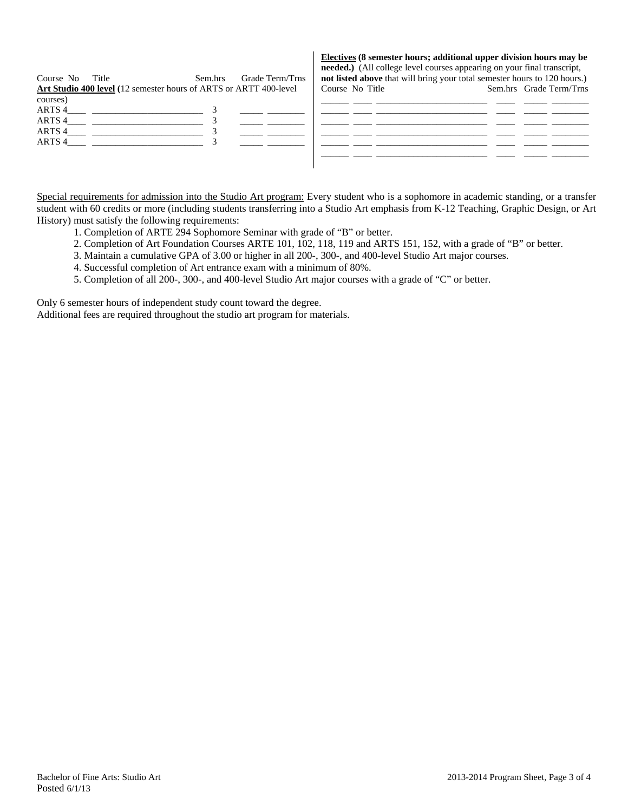| Course No | Title                                                             | Sem.hrs | Grade Term/Trns | needed.) (All college level courses appearing on your final transcript,<br>not listed above that will bring your total semester hours to 120 hours.) |                         |
|-----------|-------------------------------------------------------------------|---------|-----------------|------------------------------------------------------------------------------------------------------------------------------------------------------|-------------------------|
|           | Art Studio 400 level (12 semester hours of ARTS or ARTT 400-level |         |                 | Course No Title                                                                                                                                      | Sem.hrs Grade Term/Trns |
| courses)  |                                                                   |         |                 |                                                                                                                                                      |                         |
| ARTS 4    |                                                                   |         |                 |                                                                                                                                                      |                         |
| ARTS 4    |                                                                   |         |                 |                                                                                                                                                      |                         |
| ARTS 4    |                                                                   |         |                 |                                                                                                                                                      |                         |
| ARTS 4    |                                                                   |         |                 |                                                                                                                                                      |                         |
|           |                                                                   |         |                 |                                                                                                                                                      |                         |
|           |                                                                   |         |                 |                                                                                                                                                      |                         |

**Electives (8 semester hours; additional upper division hours may be** 

Special requirements for admission into the Studio Art program: Every student who is a sophomore in academic standing, or a transfer student with 60 credits or more (including students transferring into a Studio Art emphasis from K-12 Teaching, Graphic Design, or Art History) must satisfy the following requirements:

- 1. Completion of ARTE 294 Sophomore Seminar with grade of "B" or better.
- 2. Completion of Art Foundation Courses ARTE 101, 102, 118, 119 and ARTS 151, 152, with a grade of "B" or better.
- 3. Maintain a cumulative GPA of 3.00 or higher in all 200-, 300-, and 400-level Studio Art major courses.
- 4. Successful completion of Art entrance exam with a minimum of 80%.
- 5. Completion of all 200-, 300-, and 400-level Studio Art major courses with a grade of "C" or better.

Only 6 semester hours of independent study count toward the degree.

Additional fees are required throughout the studio art program for materials.